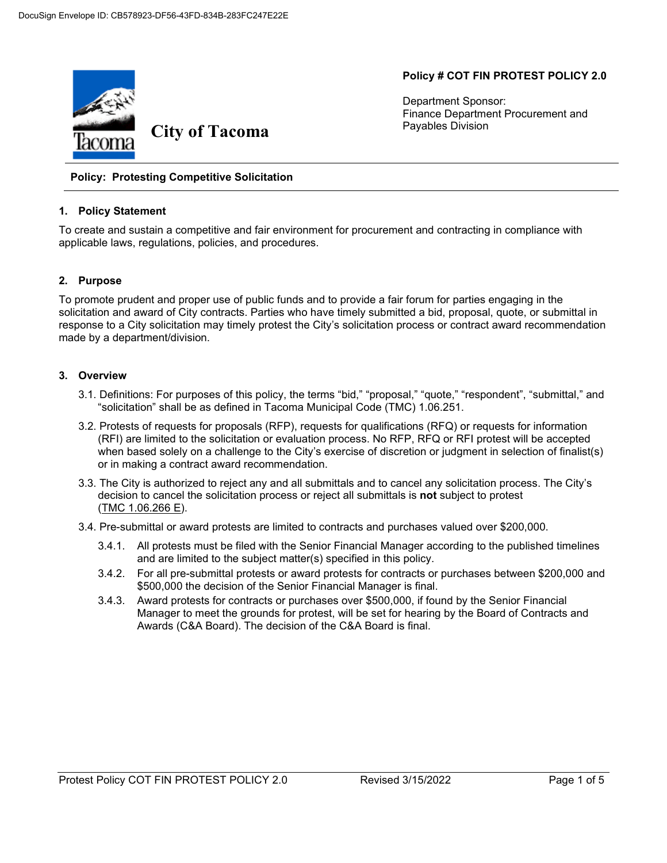## **Policy # COT FIN PROTEST POLICY 2.0**

Department Sponsor: Finance Department Procurement and Payables Division



#### **Policy: Protesting Competitive Solicitation**

#### **1. Policy Statement**

To create and sustain a competitive and fair environment for procurement and contracting in compliance with applicable laws, regulations, policies, and procedures.

#### **2. Purpose**

To promote prudent and proper use of public funds and to provide a fair forum for parties engaging in the solicitation and award of City contracts. Parties who have timely submitted a bid, proposal, quote, or submittal in response to a City solicitation may timely protest the City's solicitation process or contract award recommendation made by a department/division.

#### **3. Overview**

- 3.1. Definitions: For purposes of this policy, the terms "bid," "proposal," "quote," "respondent", "submittal," and "solicitation" shall be as defined in [Tacoma Municipal Code \(TMC\) 1.06.251.](https://cms.cityoftacoma.org/cityclerk/Files/MunicipalCode/Title01-AdministrationAndPersonnel.PDF#Chapter_1.06)
- 3.2. Protests of requests for proposals (RFP), requests for qualifications (RFQ) or requests for information (RFI) are limited to the solicitation or evaluation process. No RFP, RFQ or RFI protest will be accepted when based solely on a challenge to the City's exercise of discretion or judgment in selection of finalist(s) or in making a contract award recommendation.
- 3.3. The City is authorized to reject any and all submittals and to cancel any solicitation process. The City's decision to cancel the solicitation process or reject all submittals is **not** subject to protest  $(TMC 1.06.266 E)$  $(TMC 1.06.266 E)$  $(TMC 1.06.266 E)$ .
- 3.4. Pre-submittal or award protests are limited to contracts and purchases valued over \$200,000.
	- 3.4.1. All protests must be filed with the Senior Financial Manager according to the published timelines and are limited to the subject matter(s) specified in this policy.
	- 3.4.2. For all pre-submittal protests or award protests for contracts or purchases between \$200,000 and \$500,000 the decision of the Senior Financial Manager is final.
	- 3.4.3. Award protests for contracts or purchases over \$500,000, if found by the Senior Financial Manager to meet the grounds for protest, will be set for hearing by the [Board of Contracts and](https://www.cityoftacoma.org/government/city_departments/finance/procurement_and_payables_division/purchasing/board_of_contracts_and_awards)  Awards (C&A Board). The decision of the C&A Board is final.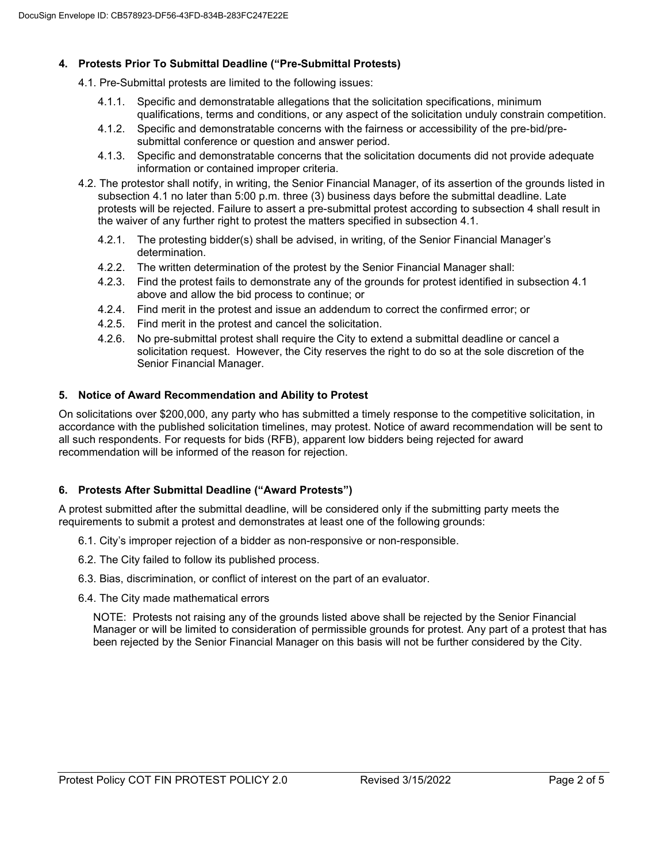# **4. Protests Prior To Submittal Deadline ("Pre-Submittal Protests)**

- 4.1. Pre-Submittal protests are limited to the following issues:
	- 4.1.1. Specific and demonstratable allegations that the solicitation specifications, minimum qualifications, terms and conditions, or any aspect of the solicitation unduly constrain competition.
	- 4.1.2. Specific and demonstratable concerns with the fairness or accessibility of the pre-bid/presubmittal conference or question and answer period.
	- 4.1.3. Specific and demonstratable concerns that the solicitation documents did not provide adequate information or contained improper criteria.
- 4.2. The protestor shall notify, in writing, the Senior Financial Manager, of its assertion of the grounds listed in subsection 4.1 no later than 5:00 p.m. three (3) business days before the submittal deadline. Late protests will be rejected. Failure to assert a pre-submittal protest according to subsection 4 shall result in the waiver of any further right to protest the matters specified in subsection 4.1.
	- 4.2.1. The protesting bidder(s) shall be advised, in writing, of the Senior Financial Manager's determination.
	- 4.2.2. The written determination of the protest by the Senior Financial Manager shall:
	- 4.2.3. Find the protest fails to demonstrate any of the grounds for protest identified in subsection 4.1 above and allow the bid process to continue; or
	- 4.2.4. Find merit in the protest and issue an addendum to correct the confirmed error; or
	- 4.2.5. Find merit in the protest and cancel the solicitation.
	- 4.2.6. No pre-submittal protest shall require the City to extend a submittal deadline or cancel a solicitation request. However, the City reserves the right to do so at the sole discretion of the Senior Financial Manager.

### **5. Notice of Award Recommendation and Ability to Protest**

On solicitations over \$200,000, any party who has submitted a timely response to the competitive solicitation, in accordance with the published solicitation timelines, may protest. Notice of award recommendation will be sent to all such respondents. For requests for bids (RFB), apparent low bidders being rejected for award recommendation will be informed of the reason for rejection.

# **6. Protests After Submittal Deadline ("Award Protests")**

A protest submitted after the submittal deadline, will be considered only if the submitting party meets the requirements to submit a protest and demonstrates at least one of the following grounds:

- 6.1. City's improper rejection of a bidder as non-responsive or non-responsible.
- 6.2. The City failed to follow its published process.
- 6.3. Bias, discrimination, or conflict of interest on the part of an evaluator.
- 6.4. The City made mathematical errors

NOTE: Protests not raising any of the grounds listed above shall be rejected by the Senior Financial Manager or will be limited to consideration of permissible grounds for protest. Any part of a protest that has been rejected by the Senior Financial Manager on this basis will not be further considered by the City.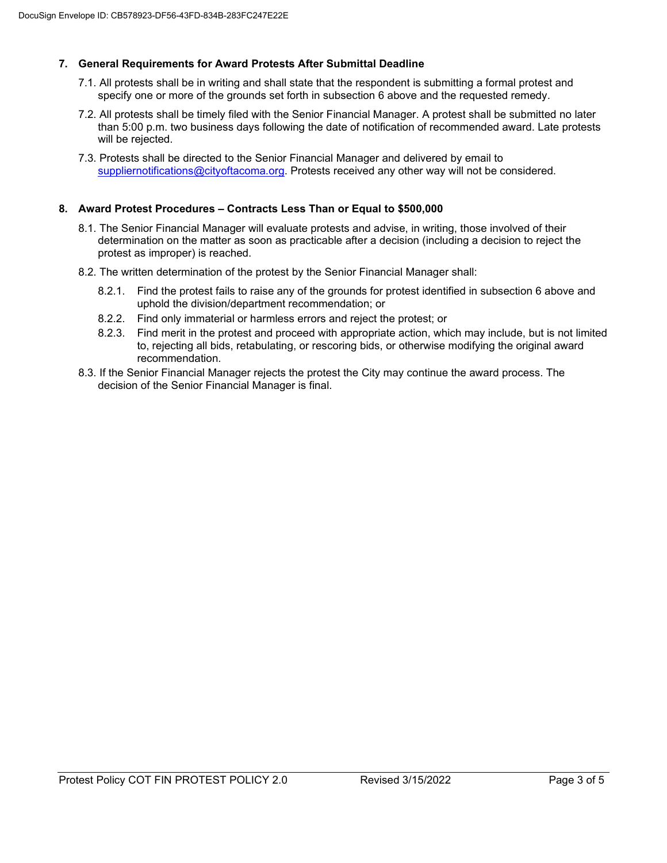# **7. General Requirements for Award Protests After Submittal Deadline**

- 7.1. All protests shall be in writing and shall state that the respondent is submitting a formal protest and specify one or more of the grounds set forth in subsection 6 above and the requested remedy.
- 7.2. All protests shall be timely filed with the Senior Financial Manager. A protest shall be submitted no later than 5:00 p.m. two business days following the date of notification of recommended award. Late protests will be rejected.
- 7.3. Protests shall be directed to the Senior Financial Manager and delivered by email to [suppliernotifications@cityoftacoma.org.](mailto:suppliernotifications.org) Protests received any other way will not be considered.

## **8. Award Protest Procedures – Contracts Less Than or Equal to \$500,000**

- 8.1. The Senior Financial Manager will evaluate protests and advise, in writing, those involved of their determination on the matter as soon as practicable after a decision (including a decision to reject the protest as improper) is reached.
- 8.2. The written determination of the protest by the Senior Financial Manager shall:
	- 8.2.1. Find the protest fails to raise any of the grounds for protest identified in subsection 6 above and uphold the division/department recommendation; or
	- 8.2.2. Find only immaterial or harmless errors and reject the protest; or
	- 8.2.3. Find merit in the protest and proceed with appropriate action, which may include, but is not limited to, rejecting all bids, retabulating, or rescoring bids, or otherwise modifying the original award recommendation.
- 8.3. If the Senior Financial Manager rejects the protest the City may continue the award process. The decision of the Senior Financial Manager is final.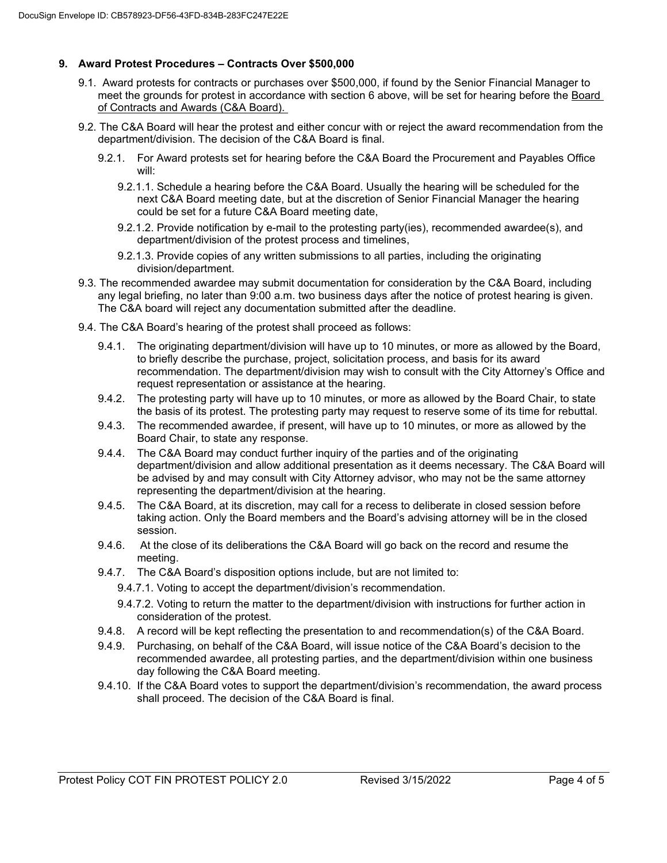# **9. Award Protest Procedures – Contracts Over \$500,000**

- 9.1. Award protests for contracts or purchases over \$500,000, if found by the Senior Financial Manager to meet the grounds for protest in accordance with section 6 above, will be set for hearing before the [Board](https://www.cityoftacoma.org/government/city_departments/finance/procurement_and_payables_division/purchasing/board_of_contracts_and_awards)  [of Contracts and Awards \(C&A Board\).](https://www.cityoftacoma.org/government/city_departments/finance/procurement_and_payables_division/purchasing/board_of_contracts_and_awards)
- 9.2. The C&A Board will hear the protest and either concur with or reject the award recommendation from the department/division. The decision of the C&A Board is final.
	- 9.2.1. For Award protests set for hearing before the C&A Board the Procurement and Payables Office will:
		- 9.2.1.1. Schedule a hearing before the C&A Board. Usually the hearing will be scheduled for the next C&A Board meeting date, but at the discretion of Senior Financial Manager the hearing could be set for a future C&A Board meeting date,
		- 9.2.1.2. Provide notification by e-mail to the protesting party(ies), recommended awardee(s), and department/division of the protest process and timelines,
		- 9.2.1.3. Provide copies of any written submissions to all parties, including the originating division/department.
- 9.3. The recommended awardee may submit documentation for consideration by the C&A Board, including any legal briefing, no later than 9:00 a.m. two business days after the notice of protest hearing is given. The C&A board will reject any documentation submitted after the deadline.
- 9.4. The C&A Board's hearing of the protest shall proceed as follows:
	- 9.4.1. The originating department/division will have up to 10 minutes, or more as allowed by the Board, to briefly describe the purchase, project, solicitation process, and basis for its award recommendation. The department/division may wish to consult with the City Attorney's Office and request representation or assistance at the hearing.
	- 9.4.2. The protesting party will have up to 10 minutes, or more as allowed by the Board Chair, to state the basis of its protest. The protesting party may request to reserve some of its time for rebuttal.
	- 9.4.3. The recommended awardee, if present, will have up to 10 minutes, or more as allowed by the Board Chair, to state any response.
	- 9.4.4. The C&A Board may conduct further inquiry of the parties and of the originating department/division and allow additional presentation as it deems necessary. The C&A Board will be advised by and may consult with City Attorney advisor, who may not be the same attorney representing the department/division at the hearing.
	- 9.4.5. The C&A Board, at its discretion, may call for a recess to deliberate in closed session before taking action. Only the Board members and the Board's advising attorney will be in the closed session.
	- 9.4.6. At the close of its deliberations the C&A Board will go back on the record and resume the meeting.
	- 9.4.7. The C&A Board's disposition options include, but are not limited to:
		- 9.4.7.1. Voting to accept the department/division's recommendation.
		- 9.4.7.2. Voting to return the matter to the department/division with instructions for further action in consideration of the protest.
	- 9.4.8. A record will be kept reflecting the presentation to and recommendation(s) of the C&A Board.
	- 9.4.9. Purchasing, on behalf of the C&A Board, will issue notice of the C&A Board's decision to the recommended awardee, all protesting parties, and the department/division within one business day following the C&A Board meeting.
	- 9.4.10. If the C&A Board votes to support the department/division's recommendation, the award process shall proceed. The decision of the C&A Board is final.